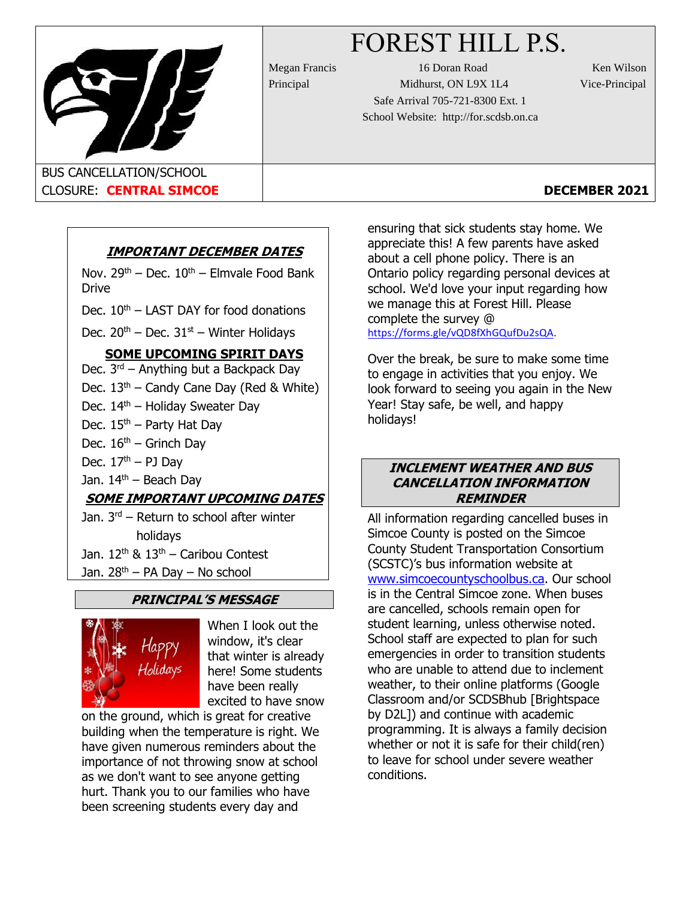# FOREST HILL P.S.



Megan Francis 16 Doran Road Ken Wilson Principal Midhurst, ON L9X 1L4 Vice-Principal Safe Arrival 705-721-8300 Ext. 1 School Website: http://for.scdsb.on.ca

# CLOSURE: **CENTRAL SIMCOE DECEMBER 2021**

# **IMPORTANT DECEMBER DATES**

Nov.  $29<sup>th</sup>$  – Dec.  $10<sup>th</sup>$  – Elmvale Food Bank Drive

Dec.  $10^{th}$  – LAST DAY for food donations

Dec.  $20^{th}$  – Dec.  $31^{st}$  – Winter Holidays

# **SOME UPCOMING SPIRIT DAYS**

Dec.  $3^{rd}$  – Anything but a Backpack Day

Dec.  $13<sup>th</sup>$  – Candy Cane Day (Red & White)

Dec. 14<sup>th</sup> – Holiday Sweater Day

- Dec.  $15<sup>th</sup>$  Party Hat Day
- Dec.  $16<sup>th</sup>$  Grinch Day
- Dec.  $17<sup>th</sup> PJ$  Day

Jan.  $14<sup>th</sup>$  – Beach Day

# **SOME IMPORTANT UPCOMING DATES**

Jan. 3<sup>rd</sup> – Return to school after winter holidays

Jan.  $12<sup>th</sup>$  &  $13<sup>th</sup>$  – Caribou Contest

Jan.  $28<sup>th</sup> - PA$  Day – No school

# **PRINCIPAL'S MESSAGE**



When I look out the window, it's clear that winter is already here! Some students have been really excited to have snow

on the ground, which is great for creative building when the temperature is right. We have given numerous reminders about the importance of not throwing snow at school as we don't want to see anyone getting hurt. Thank you to our families who have been screening students every day and

ensuring that sick students stay home. We appreciate this! A few parents have asked about a cell phone policy. There is an Ontario policy regarding personal devices at school. We'd love your input regarding how we manage this at Forest Hill. Please complete the survey @ [https://forms.gle/vQD8fXhGQufDu2sQA](https://can01.safelinks.protection.outlook.com/?url=https%3A%2F%2Fforms.gle%2FvQD8fXhGQufDu2sQA&data=04%7C01%7CLJankowski%40scdsb.on.ca%7C9d92aee4b3c64d5643cf08d9b902f889%7C573d7e64d5434fd8b3da0c64adc4eb35%7C1%7C0%7C637744244667121473%7CUnknown%7CTWFpbGZsb3d8eyJWIjoiMC4wLjAwMDAiLCJQIjoiV2luMzIiLCJBTiI6Ik1haWwiLCJXVCI6Mn0%3D%7C3000&sdata=AeUPLodbnwvkwB4NGExzQzPEhGKCDRiI8Q6%2BnrZoEXE%3D&reserved=0).

Over the break, be sure to make some time to engage in activities that you enjoy. We look forward to seeing you again in the New Year! Stay safe, be well, and happy holidays!

## **INCLEMENT WEATHER AND BUS CANCELLATION INFORMATION REMINDER**

All information regarding cancelled buses in Simcoe County is posted on the Simcoe County Student Transportation Consortium (SCSTC)'s bus information website at [www.simcoecountyschoolbus.ca.](file://///adminvs01/diroff/Communications/Communications%20Department/School%20Newsletter%20Items/2020-2021/October/www.simcoecountyschoolbus.ca) Our school is in the Central Simcoe zone. When buses are cancelled, schools remain open for student learning, unless otherwise noted. School staff are expected to plan for such emergencies in order to transition students who are unable to attend due to inclement weather, to their online platforms (Google Classroom and/or SCDSBhub [Brightspace by D2L]) and continue with academic programming. It is always a family decision whether or not it is safe for their child(ren) to leave for school under severe weather conditions.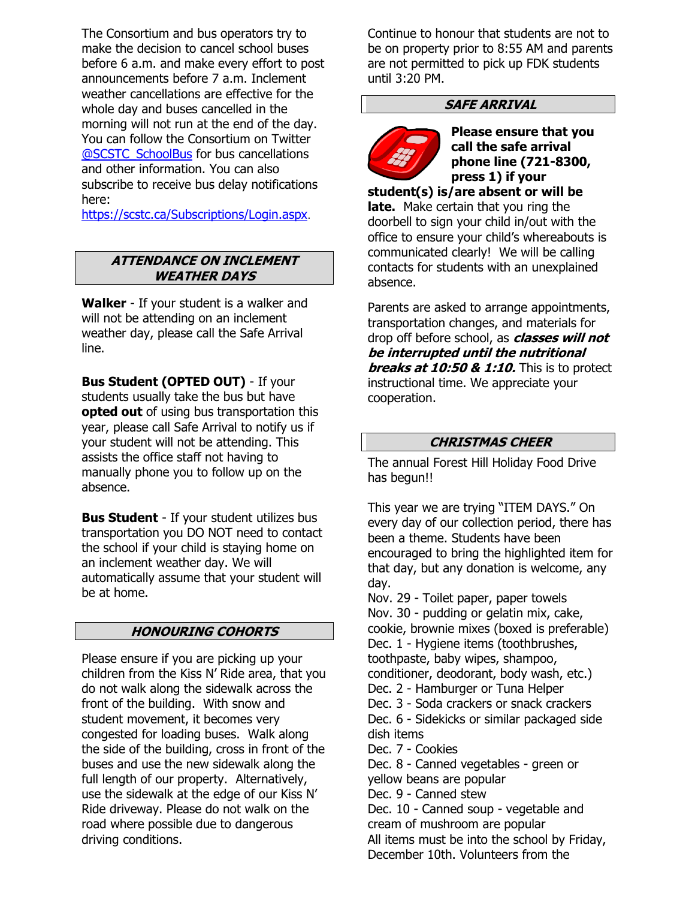The Consortium and bus operators try to make the decision to cancel school buses before 6 a.m. and make every effort to post announcements before 7 a.m. Inclement weather cancellations are effective for the whole day and buses cancelled in the morning will not run at the end of the day. You can follow the Consortium on Twitter [@SCSTC\\_SchoolBus](https://twitter.com/SCSTC_SchoolBus?ref_src=twsrc%5Egoogle%7Ctwcamp%5Eserp%7Ctwgr%5Eauthor) for bus cancellations and other information. You can also subscribe to receive bus delay notifications here:

<https://scstc.ca/Subscriptions/Login.aspx>.

#### **ATTENDANCE ON INCLEMENT WEATHER DAYS**

**Walker** - If your student is a walker and will not be attending on an inclement weather day, please call the Safe Arrival line.

**Bus Student (OPTED OUT)** - If your students usually take the bus but have **opted out** of using bus transportation this year, please call Safe Arrival to notify us if your student will not be attending. This assists the office staff not having to manually phone you to follow up on the absence.

**Bus Student** - If your student utilizes bus transportation you DO NOT need to contact the school if your child is staying home on an inclement weather day. We will automatically assume that your student will be at home.

#### **HONOURING COHORTS**

Please ensure if you are picking up your children from the Kiss N' Ride area, that you do not walk along the sidewalk across the front of the building. With snow and student movement, it becomes very congested for loading buses. Walk along the side of the building, cross in front of the buses and use the new sidewalk along the full length of our property. Alternatively, use the sidewalk at the edge of our Kiss N' Ride driveway. Please do not walk on the road where possible due to dangerous driving conditions.

Continue to honour that students are not to be on property prior to 8:55 AM and parents are not permitted to pick up FDK students until 3:20 PM.

# **SAFE ARRIVAL**



**Please ensure that you call the safe arrival phone line (721-8300, press 1) if your** 

**student(s) is/are absent or will be late.** Make certain that you ring the doorbell to sign your child in/out with the office to ensure your child's whereabouts is communicated clearly! We will be calling contacts for students with an unexplained absence.

Parents are asked to arrange appointments, transportation changes, and materials for drop off before school, as **classes will not be interrupted until the nutritional breaks at 10:50 & 1:10.** This is to protect instructional time. We appreciate your cooperation.

#### **CHRISTMAS CHEER**

The annual Forest Hill Holiday Food Drive has begun!!

This year we are trying "ITEM DAYS." On every day of our collection period, there has been a theme. Students have been encouraged to bring the highlighted item for that day, but any donation is welcome, any day.

Nov. 29 - Toilet paper, paper towels Nov. 30 - pudding or gelatin mix, cake, cookie, brownie mixes (boxed is preferable) Dec. 1 - Hygiene items (toothbrushes, toothpaste, baby wipes, shampoo, conditioner, deodorant, body wash, etc.) Dec. 2 - Hamburger or Tuna Helper Dec. 3 - Soda crackers or snack crackers Dec. 6 - Sidekicks or similar packaged side dish items Dec. 7 - Cookies Dec. 8 - Canned vegetables - green or yellow beans are popular Dec. 9 - Canned stew Dec. 10 - Canned soup - vegetable and cream of mushroom are popular All items must be into the school by Friday, December 10th. Volunteers from the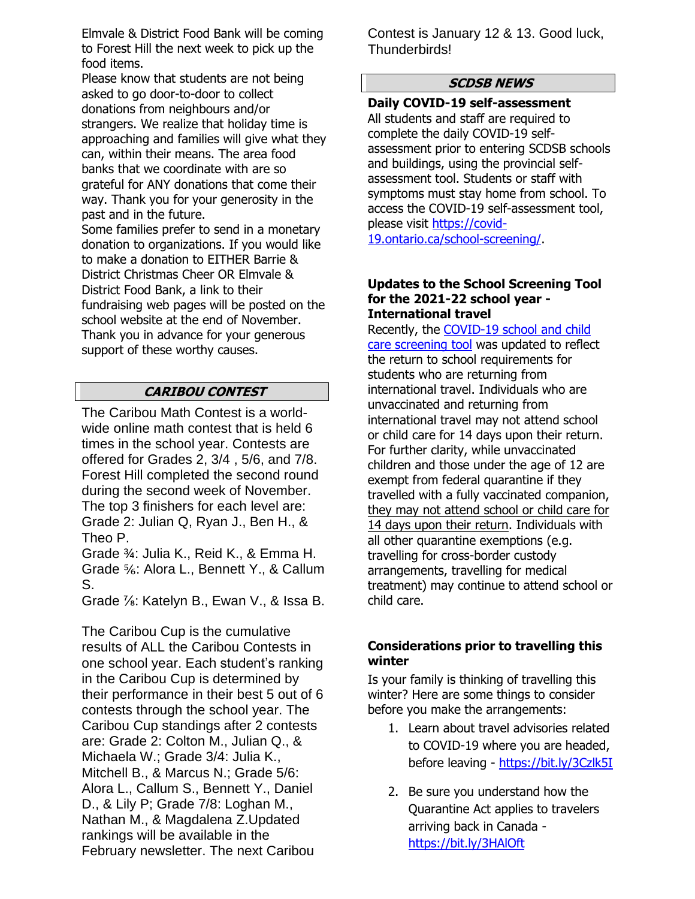Elmvale & District Food Bank will be coming to Forest Hill the next week to pick up the food items.

Please know that students are not being asked to go door-to-door to collect donations from neighbours and/or strangers. We realize that holiday time is approaching and families will give what they can, within their means. The area food banks that we coordinate with are so grateful for ANY donations that come their way. Thank you for your generosity in the past and in the future.

Some families prefer to send in a monetary donation to organizations. If you would like to make a donation to EITHER Barrie & District Christmas Cheer OR Elmvale & District Food Bank, a link to their fundraising web pages will be posted on the school website at the end of November. Thank you in advance for your generous support of these worthy causes.

# **CARIBOU CONTEST**

The Caribou Math Contest is a worldwide online math contest that is held 6 times in the school year. Contests are offered for Grades 2, 3/4 , 5/6, and 7/8. Forest Hill completed the second round during the second week of November. The top 3 finishers for each level are: Grade 2: Julian Q, Ryan J., Ben H., & Theo P.

Grade ¾: Julia K., Reid K., & Emma H. Grade ⅚: Alora L., Bennett Y., & Callum S.

Grade ⅞: Katelyn B., Ewan V., & Issa B.

The Caribou Cup is the cumulative results of ALL the Caribou Contests in one school year. Each student's ranking in the Caribou Cup is determined by their performance in their best 5 out of 6 contests through the school year. The Caribou Cup standings after 2 contests are: Grade 2: Colton M., Julian Q., & Michaela W.; Grade 3/4: Julia K., Mitchell B., & Marcus N.; Grade 5/6: Alora L., Callum S., Bennett Y., Daniel D., & Lily P; Grade 7/8: Loghan M., Nathan M., & Magdalena Z.Updated rankings will be available in the February newsletter. The next Caribou

Contest is January 12 & 13. Good luck, Thunderbirds!

# **SCDSB NEWS**

**Daily COVID-19 self-assessment** All students and staff are required to complete the daily COVID-19 selfassessment prior to entering SCDSB schools and buildings, using the provincial selfassessment tool. Students or staff with symptoms must stay home from school. To access the COVID-19 self-assessment tool, please visit [https://covid-](https://covid-19.ontario.ca/school-screening/)[19.ontario.ca/school-screening/.](https://covid-19.ontario.ca/school-screening/)

#### **Updates to the School Screening Tool for the 2021-22 school year - International travel**

Recently, the [COVID-19 school and child](https://can01.safelinks.protection.outlook.com/?url=https%3A%2F%2Fcovid-19.ontario.ca%2Fschool-screening%2F&data=04%7C01%7Cafarrell%40scdsb.on.ca%7Cf7af1515da514fb5da6808d99a358863%7C573d7e64d5434fd8b3da0c64adc4eb35%7C1%7C0%7C637710376967295545%7CUnknown%7CTWFpbGZsb3d8eyJWIjoiMC4wLjAwMDAiLCJQIjoiV2luMzIiLCJBTiI6Ik1haWwiLCJXVCI6Mn0%3D%7C1000&sdata=0%2Fcpi7wGQBdSYOhcYDF4Kq%2FUsjD4Cn4Ie%2BSKwOc826E%3D&reserved=0)  [care screening tool](https://can01.safelinks.protection.outlook.com/?url=https%3A%2F%2Fcovid-19.ontario.ca%2Fschool-screening%2F&data=04%7C01%7Cafarrell%40scdsb.on.ca%7Cf7af1515da514fb5da6808d99a358863%7C573d7e64d5434fd8b3da0c64adc4eb35%7C1%7C0%7C637710376967295545%7CUnknown%7CTWFpbGZsb3d8eyJWIjoiMC4wLjAwMDAiLCJQIjoiV2luMzIiLCJBTiI6Ik1haWwiLCJXVCI6Mn0%3D%7C1000&sdata=0%2Fcpi7wGQBdSYOhcYDF4Kq%2FUsjD4Cn4Ie%2BSKwOc826E%3D&reserved=0) was updated to reflect the return to school requirements for students who are returning from international travel. Individuals who are unvaccinated and returning from international travel may not attend school or child care for 14 days upon their return. For further clarity, while unvaccinated children and those under the age of 12 are exempt from federal quarantine if they travelled with a fully vaccinated companion, they may not attend school or child care for 14 days upon their return. Individuals with all other quarantine exemptions (e.g. travelling for cross-border custody arrangements, travelling for medical treatment) may continue to attend school or child care.

# **Considerations prior to travelling this winter**

Is your family is thinking of travelling this winter? Here are some things to consider before you make the arrangements:

- 1. Learn about travel advisories related to COVID-19 where you are headed, before leaving - <https://bit.ly/3Czlk5I>
- 2. Be sure you understand how the Quarantine Act applies to travelers arriving back in Canada <https://bit.ly/3HAlOft>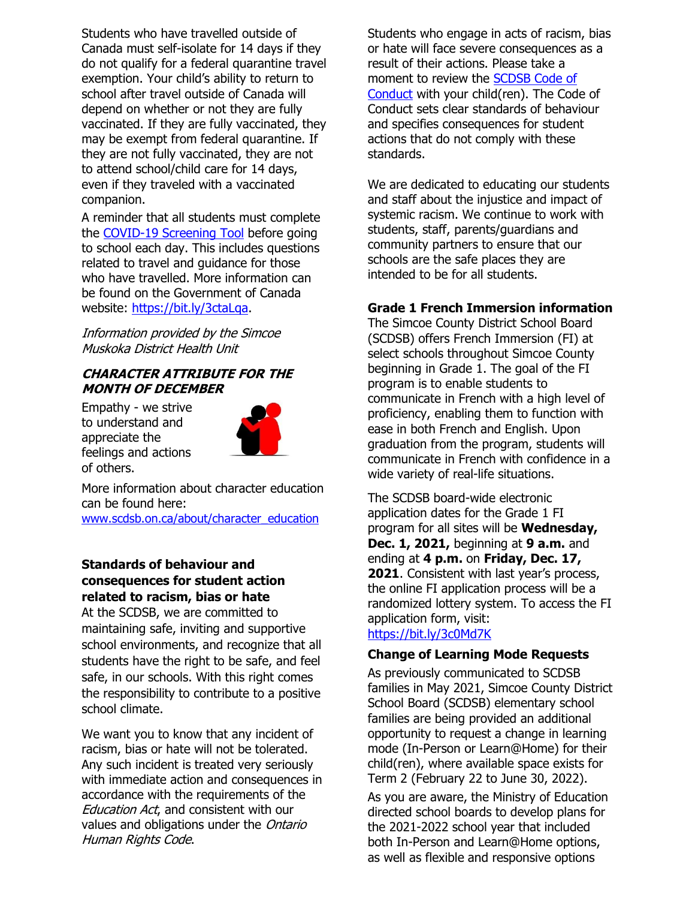Students who have travelled outside of Canada must self-isolate for 14 days if they do not qualify for a federal quarantine travel exemption. Your child's ability to return to school after travel outside of Canada will depend on whether or not they are fully vaccinated. If they are fully vaccinated, they may be exempt from federal quarantine. If they are not fully vaccinated, they are not to attend school/child care for 14 days, even if they traveled with a vaccinated companion.

A reminder that all students must complete the [COVID-19 Screening Tool](https://can01.safelinks.protection.outlook.com/?url=https%3A%2F%2Fcovid-19.ontario.ca%2Fschool-screening%2F&data=04%7C01%7Cafarrell%40scdsb.on.ca%7C18532d912f724ba97f3608d9aac26996%7C573d7e64d5434fd8b3da0c64adc4eb35%7C1%7C0%7C637728574250521199%7CUnknown%7CTWFpbGZsb3d8eyJWIjoiMC4wLjAwMDAiLCJQIjoiV2luMzIiLCJBTiI6Ik1haWwiLCJXVCI6Mn0%3D%7C3000&sdata=EPyHQKA7qmDazgdoqjOncQqim7R%2BGvJiVsYSSsE6ybU%3D&reserved=0) before going to school each day. This includes questions related to travel and guidance for those who have travelled. More information can be found on the Government of Canada website: [https://bit.ly/3ctaLqa.](https://bit.ly/3ctaLqa)

Information provided by the Simcoe Muskoka District Health Unit

#### **CHARACTER ATTRIBUTE FOR THE MONTH OF DECEMBER**

Empathy - we strive to understand and appreciate the feelings and actions of others.



More information about character education can be found here:

[www.scdsb.on.ca/about/character\\_education](http://www.scdsb.on.ca/about/character_education)

# **Standards of behaviour and consequences for student action related to racism, bias or hate**

At the SCDSB, we are committed to maintaining safe, inviting and supportive school environments, and recognize that all students have the right to be safe, and feel safe, in our schools. With this right comes the responsibility to contribute to a positive school climate.

We want you to know that any incident of racism, bias or hate will not be tolerated. Any such incident is treated very seriously with immediate action and consequences in accordance with the requirements of the **Education Act, and consistent with our** values and obligations under the Ontario Human Rights Code.

Students who engage in acts of racism, bias or hate will face severe consequences as a result of their actions. Please take a moment to review the [SCDSB Code of](https://scdsb.on.ca/elementary/safe_schools)  [Conduct](https://scdsb.on.ca/elementary/safe_schools) with your child(ren). The Code of Conduct sets clear standards of behaviour and specifies consequences for student actions that do not comply with these standards.

We are dedicated to educating our students and staff about the injustice and impact of systemic racism. We continue to work with students, staff, parents/guardians and community partners to ensure that our schools are the safe places they are intended to be for all students.

# **Grade 1 French Immersion information**

The Simcoe County District School Board (SCDSB) offers French Immersion (FI) at select schools throughout Simcoe County beginning in Grade 1. The goal of the FI program is to enable students to communicate in French with a high level of proficiency, enabling them to function with ease in both French and English. Upon graduation from the program, students will communicate in French with confidence in a wide variety of real-life situations.

The SCDSB board-wide electronic application dates for the Grade 1 FI program for all sites will be **Wednesday, Dec. 1, 2021,** beginning at **9 a.m.** and ending at **4 p.m.** on **Friday, Dec. 17, 2021**. Consistent with last year's process, the online FI application process will be a randomized lottery system. To access the FI application form, visit: <https://bit.ly/3c0Md7K>

#### **Change of Learning Mode Requests**

As previously communicated to SCDSB families in May 2021, Simcoe County District School Board (SCDSB) elementary school families are being provided an additional opportunity to request a change in learning mode (In-Person or Learn@Home) for their child(ren), where available space exists for Term 2 (February 22 to June 30, 2022).

As you are aware, the Ministry of Education directed school boards to develop plans for the 2021-2022 school year that included both In-Person and Learn@Home options, as well as flexible and responsive options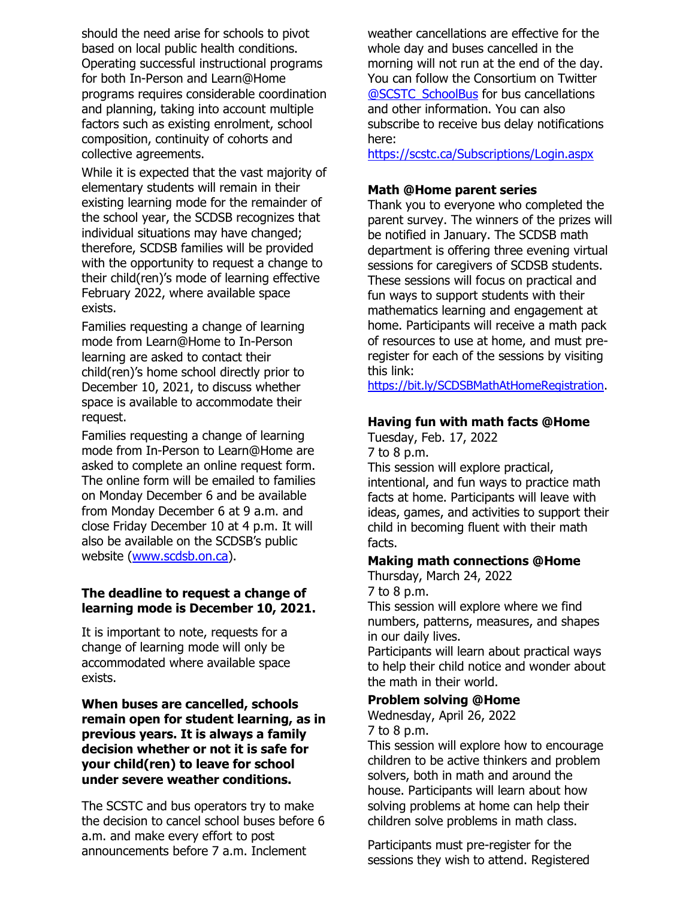should the need arise for schools to pivot based on local public health conditions. Operating successful instructional programs for both In-Person and Learn@Home programs requires considerable coordination and planning, taking into account multiple factors such as existing enrolment, school composition, continuity of cohorts and collective agreements.

While it is expected that the vast majority of elementary students will remain in their existing learning mode for the remainder of the school year, the SCDSB recognizes that individual situations may have changed; therefore, SCDSB families will be provided with the opportunity to request a change to their child(ren)'s mode of learning effective February 2022, where available space exists.

Families requesting a change of learning mode from Learn@Home to In-Person learning are asked to contact their child(ren)'s home school directly prior to December 10, 2021, to discuss whether space is available to accommodate their request.

Families requesting a change of learning mode from In-Person to Learn@Home are asked to complete an online request form. The online form will be emailed to families on Monday December 6 and be available from Monday December 6 at 9 a.m. and close Friday December 10 at 4 p.m. It will also be available on the SCDSB's public website [\(www.scdsb.on.ca\)](http://www.scdsb.on.ca/).

# **The deadline to request a change of learning mode is December 10, 2021.**

It is important to note, requests for a change of learning mode will only be accommodated where available space exists.

**When buses are cancelled, schools remain open for student learning, as in previous years. It is always a family decision whether or not it is safe for your child(ren) to leave for school under severe weather conditions.** 

The SCSTC and bus operators try to make the decision to cancel school buses before 6 a.m. and make every effort to post announcements before 7 a.m. Inclement

weather cancellations are effective for the whole day and buses cancelled in the morning will not run at the end of the day. You can follow the Consortium on Twitter [@SCSTC\\_SchoolBus](https://twitter.com/SCSTC_SchoolBus?ref_src=twsrc%5Egoogle%7Ctwcamp%5Eserp%7Ctwgr%5Eauthor) for bus cancellations and other information. You can also subscribe to receive bus delay notifications here:

<https://scstc.ca/Subscriptions/Login.aspx>

# **Math @Home parent series**

Thank you to everyone who completed the parent survey. The winners of the prizes will be notified in January. The SCDSB math department is offering three evening virtual sessions for caregivers of SCDSB students. These sessions will focus on practical and fun ways to support students with their mathematics learning and engagement at home. Participants will receive a math pack of resources to use at home, and must preregister for each of the sessions by visiting this link:

[https://bit.ly/SCDSBMathAtHomeRegistration.](https://bit.ly/SCDSBMathAtHomeRegistration)

# **Having fun with math facts @Home**

Tuesday, Feb. 17, 2022 7 to 8 p.m.

This session will explore practical, intentional, and fun ways to practice math facts at home. Participants will leave with ideas, games, and activities to support their child in becoming fluent with their math facts.

#### **Making math connections @Home** Thursday, March 24, 2022

7 to 8 p.m.

This session will explore where we find numbers, patterns, measures, and shapes in our daily lives.

Participants will learn about practical ways to help their child notice and wonder about the math in their world.

#### **Problem solving @Home**

Wednesday, April 26, 2022 7 to 8 p.m.

This session will explore how to encourage children to be active thinkers and problem solvers, both in math and around the house. Participants will learn about how solving problems at home can help their children solve problems in math class.

Participants must pre-register for the sessions they wish to attend. Registered